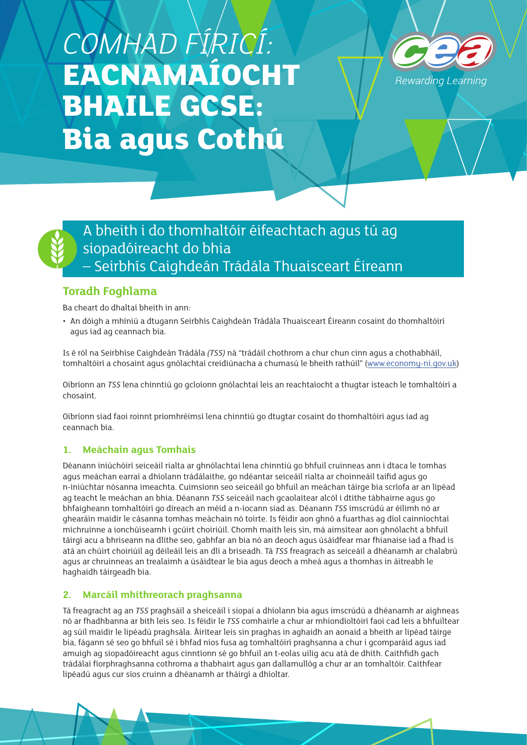# *COMHAD FÍRICÍ:*  **EACNAMAÍOCHT BHAILE GCSE: Bia agus Cothú**





# **Toradh Foghlama**

Ba cheart do dhaltaí bheith in ann:

• An dóigh a mhíniú a dtugann Seirbhís Caighdeán Trádála Thuaisceart Éireann cosaint do thomhaltóirí agus iad ag ceannach bia.

Is é ról na Seirbhíse Caighdeán Trádála *(TSS)* ná "trádáil chothrom a chur chun cinn agus a chothabháil, tomhaltóirí a chosaint agus gnólachtaí creidiúnacha a chumasú le bheith rathúil" [\(www.economy-ni.gov.uk\)](http://www.economy-ni.gov.uk)

Oibríonn an *TSS* lena chinntiú go gcloíonn gnólachtaí leis an reachtaíocht a thugtar isteach le tomhaltóirí a chosaint.

Oibríonn siad faoi roinnt príomhréimsí lena chinntiú go dtugtar cosaint do thomhaltóirí agus iad ag ceannach bia.

## **1. Meáchain agus Tomhais**

Déanann iniúchóirí seiceáil rialta ar ghnólachtaí lena chinntiú go bhfuil cruinneas ann i dtaca le tomhas agus meáchan earraí a dhíolann trádálaithe, go ndéantar seiceáil rialta ar choinneáil taifid agus go n-iniúchtar nósanna imeachta. Cuimsíonn seo seiceáil go bhfuil an meáchan táirge bia scríofa ar an lipéad ag teacht le meáchan an bhia. Déanann *TSS* seiceáil nach gcaolaítear alcól i dtithe tábhairne agus go bhfaigheann tomhaltóirí go díreach an méid a n-íocann siad as. Déanann *TSS* imscrúdú ar éilimh nó ar ghearáin maidir le cásanna tomhas meáchain nó toirte. Is féidir aon ghnó a fuarthas ag díol cainníochtaí míchruinne a ionchúiseamh i gcúirt choiriúil. Chomh maith leis sin, má aimsítear aon ghnólacht a bhfuil táirgí acu a bhriseann na dlíthe seo, gabhfar an bia nó an deoch agus úsáidfear mar fhianaise iad a fhad is atá an chúirt choiriúil ag déileáil leis an dlí a briseadh. Tá *TSS* freagrach as seiceáil a dhéanamh ar chalabrú agus ar chruinneas an trealaimh a úsáidtear le bia agus deoch a mheá agus a thomhas in áitreabh le haghaidh táirgeadh bia.

#### **2. Marcáil mhíthreorach praghsanna**

Tá freagracht ag an *TSS* praghsáil a sheiceáil i siopaí a dhíolann bia agus imscrúdú a dhéanamh ar aighneas nó ar fhadhbanna ar bith leis seo. Is féidir le *TSS* comhairle a chur ar mhiondíoltóirí faoi cad leis a bhfuiltear ag súil maidir le lipéadú praghsála. Áirítear leis sin praghas in aghaidh an aonaid a bheith ar lipéad táirge bia, fágann sé seo go bhfuil sé i bhfad níos fusa ag tomhaltóirí praghsanna a chur i gcomparáid agus iad amuigh ag siopadóireacht agus cinntíonn sé go bhfuil an t-eolas uilig acu atá de dhíth. Caithfidh gach trádálaí fíorphraghsanna cothroma a thabhairt agus gan dallamullóg a chur ar an tomhaltóir. Caithfear lipéadú agus cur síos cruinn a dhéanamh ar tháirgí a dhíoltar.